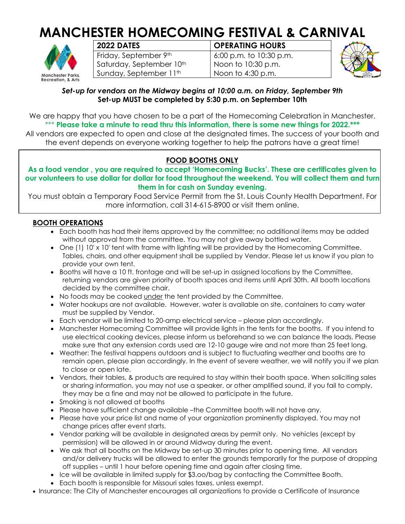# **MANCHESTER HOMECOMING FESTIVAL & CARNIVAL**



| 2022 DATES               |
|--------------------------|
| Friday, September 9th    |
| Saturday, September 10th |
| Sunday, September 11th   |

## *<u>OPERATING HOURS</u>*

6:00 p.m. to 10:30 p.m. Noon to 10:30 p.m. Noon to 4:30 p.m.



#### *Set-up for vendors on the Midway begins at 10:00 a.m. on Friday, September 9th* **Set-up MUST be completed by 5:30 p.m. on September 10th**

We are happy that you have chosen to be a part of the Homecoming Celebration in Manchester. \*\*\* **Please take a minute to read thru this information, there is some new things for 2022.\*\*\*** All vendors are expected to open and close at the designated times. The success of your booth and

the event depends on everyone working together to help the patrons have a great time!

### **FOOD BOOTHS ONLY**

**As a food vendor , you are required to accept 'Homecoming Bucks'. These are certificates given to our volunteers to use dollar for dollar for food throughout the weekend. You will collect them and turn them in for cash on Sunday evening.**

You must obtain a Temporary Food Service Permit from the St. Louis County Health Department. For more information, call 314-615-8900 or visit them online.

#### **BOOTH OPERATIONS**

- Each booth has had their items approved by the committee; no additional items may be added without approval from the committee. You may not give away bottled water.
- One (1) 10' x 10' tent with frame with lighting will be provided by the Homecoming Committee. Tables, chairs, and other equipment shall be supplied by Vendor. Please let us know if you plan to provide your own tent.
- Booths will have a 10 ft. frontage and will be set-up in assigned locations by the Committee, returning vendors are given priority of booth spaces and items until April 30th. All booth locations decided by the committee chair.
- No foods may be cooked under the tent provided by the Committee.
- Water hookups are not available. However, water is available on site, containers to carry water must be supplied by Vendor.
- Each vendor will be limited to 20-amp electrical service please plan accordingly.
- Manchester Homecoming Committee will provide lights in the tents for the booths. If you intend to use electrical cooking devices, please inform us beforehand so we can balance the loads. Please make sure that any extension cords used are 12-10 gauge wire and not more than 25 feet long.
- Weather: The festival happens outdoors and is subject to fluctuating weather and booths are to remain open, please plan accordingly. In the event of severe weather, we will notify you if we plan to close or open late.
- Vendors, their tables, & products are required to stay within their booth space. When soliciting sales or sharing information, you may not use a speaker, or other amplified sound, if you fail to comply, they may be a fine and may not be allowed to participate in the future.
- Smoking is not allowed at booths
- Please have sufficient change available –the Committee booth will not have any.
- Please have your price list and name of your organization prominently displayed. You may not change prices after event starts.
- Vendor parking will be available in designated areas by permit only. No vehicles (except by permission) will be allowed in or around Midway during the event.
- We ask that all booths on the Midway be set-up 30 minutes prior to opening time. All vendors and/or delivery trucks will be allowed to enter the grounds temporarily for the purpose of dropping off supplies – until 1 hour before opening time and again after closing time.
- Ice will be available in limited supply for \$3.oo/bag by contacting the Committee Booth.
- Each booth is responsible for Missouri sales taxes, unless exempt.
- Insurance: The City of Manchester encourages all organizations to provide a Certificate of Insurance